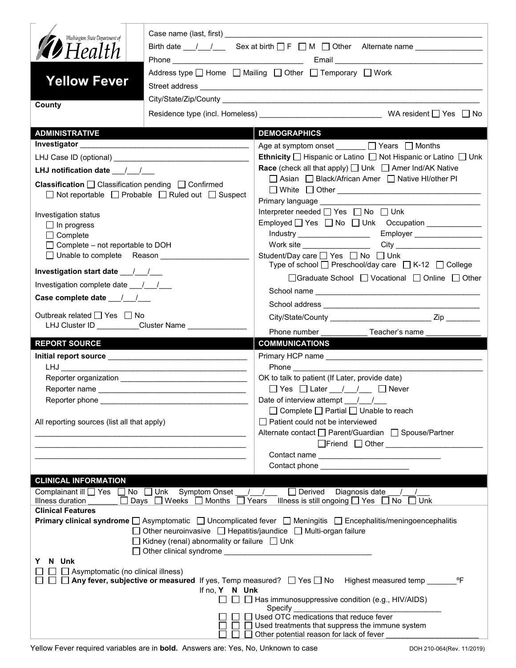| Washington State Department of<br><b>12</b> Health<br><b>Yellow Fever</b>                                                                                                                                                                                                | Address type $\Box$ Home $\Box$ Mailing $\Box$ Other $\Box$ Temporary $\Box$ Work |                                                                                                          |  |  |  |
|--------------------------------------------------------------------------------------------------------------------------------------------------------------------------------------------------------------------------------------------------------------------------|-----------------------------------------------------------------------------------|----------------------------------------------------------------------------------------------------------|--|--|--|
| County                                                                                                                                                                                                                                                                   |                                                                                   |                                                                                                          |  |  |  |
| <b>ADMINISTRATIVE</b>                                                                                                                                                                                                                                                    |                                                                                   | <b>DEMOGRAPHICS</b>                                                                                      |  |  |  |
|                                                                                                                                                                                                                                                                          |                                                                                   | Age at symptom onset _______ □ Years □ Months                                                            |  |  |  |
|                                                                                                                                                                                                                                                                          |                                                                                   | <b>Ethnicity</b> $\Box$ Hispanic or Latino $\Box$ Not Hispanic or Latino $\Box$ Unk                      |  |  |  |
| LHJ notification date __/__/__                                                                                                                                                                                                                                           |                                                                                   | <b>Race</b> (check all that apply) $\Box$ Unk $\Box$ Amer Ind/AK Native                                  |  |  |  |
| <b>Classification</b> $\Box$ Classification pending $\Box$ Confirmed<br>$\Box$ Not reportable $\Box$ Probable $\Box$ Ruled out $\Box$ Suspect                                                                                                                            |                                                                                   | □ Asian □ Black/African Amer □ Native HI/other PI                                                        |  |  |  |
|                                                                                                                                                                                                                                                                          |                                                                                   | Interpreter needed $\Box$ Yes $\Box$ No $\Box$ Unk                                                       |  |  |  |
| Investigation status<br>$\Box$ In progress                                                                                                                                                                                                                               |                                                                                   | Employed   Yes   No   Unk Occupation ____________                                                        |  |  |  |
| $\Box$ Complete                                                                                                                                                                                                                                                          |                                                                                   | Industry _____________________<br>Employer                                                               |  |  |  |
| $\Box$ Complete – not reportable to DOH                                                                                                                                                                                                                                  |                                                                                   | Work site __________________                                                                             |  |  |  |
| □ Unable to complete Reason                                                                                                                                                                                                                                              |                                                                                   | Student/Day care □ Yes □ No □ Unk<br>Type of school $\Box$ Preschool/day care $\Box$ K-12 $\Box$ College |  |  |  |
|                                                                                                                                                                                                                                                                          |                                                                                   | □Graduate School □ Vocational □ Online □ Other                                                           |  |  |  |
| Investigation complete date 11/1                                                                                                                                                                                                                                         |                                                                                   |                                                                                                          |  |  |  |
| Case complete date $\frac{1}{\sqrt{2}}$                                                                                                                                                                                                                                  |                                                                                   |                                                                                                          |  |  |  |
| Outbreak related $\Box$ Yes $\Box$ No<br>LHJ Cluster ID _________Cluster Name ______                                                                                                                                                                                     |                                                                                   | Phone number<br>Teacher's name                                                                           |  |  |  |
| <b>REPORT SOURCE</b>                                                                                                                                                                                                                                                     |                                                                                   | <b>COMMUNICATIONS</b>                                                                                    |  |  |  |
|                                                                                                                                                                                                                                                                          |                                                                                   |                                                                                                          |  |  |  |
|                                                                                                                                                                                                                                                                          |                                                                                   |                                                                                                          |  |  |  |
|                                                                                                                                                                                                                                                                          |                                                                                   | OK to talk to patient (If Later, provide date)                                                           |  |  |  |
|                                                                                                                                                                                                                                                                          |                                                                                   | $\Box$ Yes $\Box$ Later $\Box$ / $\Box$ Never                                                            |  |  |  |
| Reporter phone ________                                                                                                                                                                                                                                                  |                                                                                   | Date of interview attempt ___/___/___                                                                    |  |  |  |
| All reporting sources (list all that apply)                                                                                                                                                                                                                              |                                                                                   | $\Box$ Complete $\Box$ Partial $\Box$ Unable to reach<br>$\Box$ Patient could not be interviewed         |  |  |  |
|                                                                                                                                                                                                                                                                          |                                                                                   | Alternate contact □ Parent/Guardian □ Spouse/Partner                                                     |  |  |  |
|                                                                                                                                                                                                                                                                          |                                                                                   |                                                                                                          |  |  |  |
|                                                                                                                                                                                                                                                                          |                                                                                   |                                                                                                          |  |  |  |
|                                                                                                                                                                                                                                                                          |                                                                                   | Contact phone ___________________                                                                        |  |  |  |
| <b>CLINICAL INFORMATION</b>                                                                                                                                                                                                                                              |                                                                                   |                                                                                                          |  |  |  |
| Complainant ill U Yes □ No □ Unk Symptom Onset / /<br>$\Box$ Derived Diagnosis date<br>□ Days □ Weeks □ Months □ Years<br>Illness is still ongoing $\Box$ Yes $\Box$ No<br>Illness duration<br>$\square$ Unk                                                             |                                                                                   |                                                                                                          |  |  |  |
|                                                                                                                                                                                                                                                                          | <b>Clinical Features</b>                                                          |                                                                                                          |  |  |  |
| <b>Primary clinical syndrome</b> $\Box$ Asymptomatic $\Box$ Uncomplicated fever $\Box$ Meningitis $\Box$ Encephalitis/meningoencephalitis<br>□ Other neuroinvasive □ Hepatitis/jaundice □ Multi-organ failure<br>$\Box$ Kidney (renal) abnormality or failure $\Box$ Unk |                                                                                   |                                                                                                          |  |  |  |
| N Unk<br>Y                                                                                                                                                                                                                                                               |                                                                                   |                                                                                                          |  |  |  |
| $\Box$ Asymptomatic (no clinical illness)<br>□ Any fever, subjective or measured If yes, Temp measured? □ Yes □ No Highest measured temp _____<br>°F<br>If no, Y N Unk<br>$\Box$ Has immunosuppressive condition (e.g., HIV/AIDS)<br>Specify                             |                                                                                   |                                                                                                          |  |  |  |
| Used OTC medications that reduce fever<br>Used treatments that suppress the immune system                                                                                                                                                                                |                                                                                   |                                                                                                          |  |  |  |
| Other potential reason for lack of fever                                                                                                                                                                                                                                 |                                                                                   |                                                                                                          |  |  |  |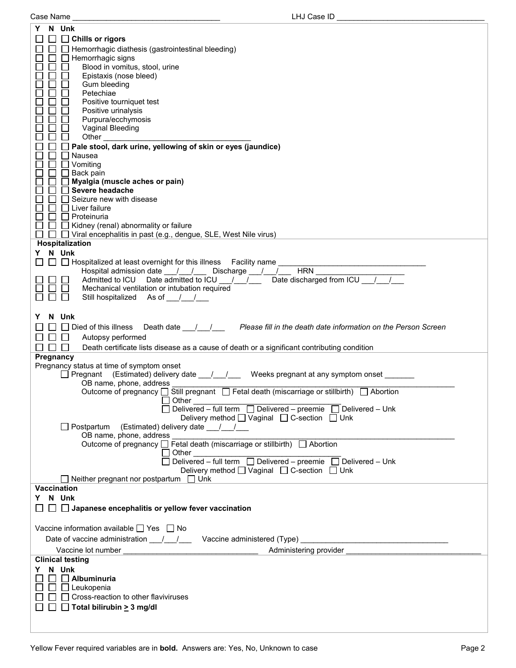|           |                                                                                                  | N Unk                                                                                                                                                                                                                                                                                                             |  |  |  |
|-----------|--------------------------------------------------------------------------------------------------|-------------------------------------------------------------------------------------------------------------------------------------------------------------------------------------------------------------------------------------------------------------------------------------------------------------------|--|--|--|
|           |                                                                                                  | $\Box$ Chills or rigors                                                                                                                                                                                                                                                                                           |  |  |  |
|           |                                                                                                  | Hemorrhagic diathesis (gastrointestinal bleeding)                                                                                                                                                                                                                                                                 |  |  |  |
|           |                                                                                                  | Hemorrhagic signs                                                                                                                                                                                                                                                                                                 |  |  |  |
|           |                                                                                                  | Blood in vomitus, stool, urine                                                                                                                                                                                                                                                                                    |  |  |  |
|           |                                                                                                  | Epistaxis (nose bleed)                                                                                                                                                                                                                                                                                            |  |  |  |
|           |                                                                                                  | Gum bleeding<br>Petechiae                                                                                                                                                                                                                                                                                         |  |  |  |
|           |                                                                                                  | Positive tourniquet test                                                                                                                                                                                                                                                                                          |  |  |  |
|           |                                                                                                  | Positive urinalysis                                                                                                                                                                                                                                                                                               |  |  |  |
|           |                                                                                                  | Purpura/ecchymosis                                                                                                                                                                                                                                                                                                |  |  |  |
|           |                                                                                                  | Vaginal Bleeding                                                                                                                                                                                                                                                                                                  |  |  |  |
|           |                                                                                                  | Other                                                                                                                                                                                                                                                                                                             |  |  |  |
|           | Pale stool, dark urine, yellowing of skin or eyes (jaundice)<br>Nausea                           |                                                                                                                                                                                                                                                                                                                   |  |  |  |
|           |                                                                                                  | $\Box$ Vomiting                                                                                                                                                                                                                                                                                                   |  |  |  |
|           |                                                                                                  | Back pain                                                                                                                                                                                                                                                                                                         |  |  |  |
|           |                                                                                                  | Myalgia (muscle aches or pain)                                                                                                                                                                                                                                                                                    |  |  |  |
|           | Severe headache                                                                                  |                                                                                                                                                                                                                                                                                                                   |  |  |  |
|           |                                                                                                  | Seizure new with disease<br>$\Box$ Liver failure                                                                                                                                                                                                                                                                  |  |  |  |
|           |                                                                                                  | ∏ Proteinuria                                                                                                                                                                                                                                                                                                     |  |  |  |
|           |                                                                                                  | $\Box$ Kidney (renal) abnormality or failure                                                                                                                                                                                                                                                                      |  |  |  |
|           |                                                                                                  | $\Box$ Viral encephalitis in past (e.g., dengue, SLE, West Nile virus)                                                                                                                                                                                                                                            |  |  |  |
|           |                                                                                                  | Hospitalization                                                                                                                                                                                                                                                                                                   |  |  |  |
|           |                                                                                                  | Y N Unk                                                                                                                                                                                                                                                                                                           |  |  |  |
|           |                                                                                                  | $\Box$ Hospitalized at least overnight for this illness Facility name<br><b>HRN</b><br>Hospital admission date __/__/___ Discharge __/__/__                                                                                                                                                                       |  |  |  |
|           |                                                                                                  | Admitted to ICU Date admitted to ICU / /<br>Date discharged from ICU /                                                                                                                                                                                                                                            |  |  |  |
|           |                                                                                                  | Mechanical ventilation or intubation required                                                                                                                                                                                                                                                                     |  |  |  |
|           |                                                                                                  | Still hospitalized As of //                                                                                                                                                                                                                                                                                       |  |  |  |
|           |                                                                                                  |                                                                                                                                                                                                                                                                                                                   |  |  |  |
|           |                                                                                                  | N Unk                                                                                                                                                                                                                                                                                                             |  |  |  |
|           |                                                                                                  | $\Box$ Died of this illness<br>Death date <u>1. All and Please fill</u> in the death date information on the Person Screen                                                                                                                                                                                        |  |  |  |
|           |                                                                                                  | Autopsy performed                                                                                                                                                                                                                                                                                                 |  |  |  |
|           |                                                                                                  | Death certificate lists disease as a cause of death or a significant contributing condition<br>$\blacksquare$                                                                                                                                                                                                     |  |  |  |
| Pregnancy |                                                                                                  | Pregnancy status at time of symptom onset                                                                                                                                                                                                                                                                         |  |  |  |
|           |                                                                                                  | $\Box$ Pregnant (Estimated) delivery date $\Box$ / Weeks pregnant at any symptom onset                                                                                                                                                                                                                            |  |  |  |
|           |                                                                                                  | OB name, phone, address                                                                                                                                                                                                                                                                                           |  |  |  |
|           |                                                                                                  | Outcome of pregnancy □ Still pregnant □ Fetal death (miscarriage or stillbirth) □ Abortion                                                                                                                                                                                                                        |  |  |  |
|           |                                                                                                  | Design and Dunch Dunch Dunch Dunch Dunch Dunch Dunch Dunch Dunch Dunch Dunch Dunch Dunch Dunch Dunch Dunch Dunch<br>Dunch Dunch Dunch Dunch Dunch Dunch Dunch Dunch Dunch Dunch Dunch Dunch Dunch Dunch Dunch Dunch Dunch Dunch<br>$\Box$ Delivered - full term $\Box$ Delivered - preemie $\Box$ Delivered - Unk |  |  |  |
|           |                                                                                                  | Delivery method <u>U</u> Vaginal □ C-section □ Unk                                                                                                                                                                                                                                                                |  |  |  |
|           |                                                                                                  | $\Box$ Postpartum<br>(Estimated) delivery date 11/                                                                                                                                                                                                                                                                |  |  |  |
|           |                                                                                                  | OB name, phone, address                                                                                                                                                                                                                                                                                           |  |  |  |
|           |                                                                                                  | Outcome of pregnancy □ Fetal death (miscarriage or stillbirth) □ Abortion                                                                                                                                                                                                                                         |  |  |  |
|           |                                                                                                  | ∣ Other<br>Delivered – full term  Delivered – preemie  Delivered – Unk                                                                                                                                                                                                                                            |  |  |  |
|           |                                                                                                  | Delivery method $\Box$ Vaginal $\Box$ C-section $\Box$ Unk                                                                                                                                                                                                                                                        |  |  |  |
|           |                                                                                                  | $\Box$ Neither pregnant nor postpartum $\Box$ Unk                                                                                                                                                                                                                                                                 |  |  |  |
|           |                                                                                                  | <b>Vaccination</b>                                                                                                                                                                                                                                                                                                |  |  |  |
|           |                                                                                                  | Y N Unk                                                                                                                                                                                                                                                                                                           |  |  |  |
|           |                                                                                                  | $\Box$ $\Box$ Japanese encephalitis or yellow fever vaccination                                                                                                                                                                                                                                                   |  |  |  |
|           |                                                                                                  |                                                                                                                                                                                                                                                                                                                   |  |  |  |
|           | Vaccine information available $\Box$ Yes $\Box$ No                                               |                                                                                                                                                                                                                                                                                                                   |  |  |  |
|           | Date of vaccine administration $\frac{1}{\sqrt{2}}$<br>Vaccine administered (Type) _____________ |                                                                                                                                                                                                                                                                                                                   |  |  |  |
|           |                                                                                                  | Administering provider<br>Vaccine lot number                                                                                                                                                                                                                                                                      |  |  |  |
|           |                                                                                                  | <b>Clinical testing</b>                                                                                                                                                                                                                                                                                           |  |  |  |
|           |                                                                                                  | Y N Unk<br>$\Box$ Albuminuria                                                                                                                                                                                                                                                                                     |  |  |  |
|           | $\Box$ Leukopenia                                                                                |                                                                                                                                                                                                                                                                                                                   |  |  |  |
|           |                                                                                                  | $\Box$ Cross-reaction to other flaviviruses                                                                                                                                                                                                                                                                       |  |  |  |
|           | $\Box$                                                                                           | $\Box$ Total bilirubin $\geq$ 3 mg/dl                                                                                                                                                                                                                                                                             |  |  |  |
|           |                                                                                                  |                                                                                                                                                                                                                                                                                                                   |  |  |  |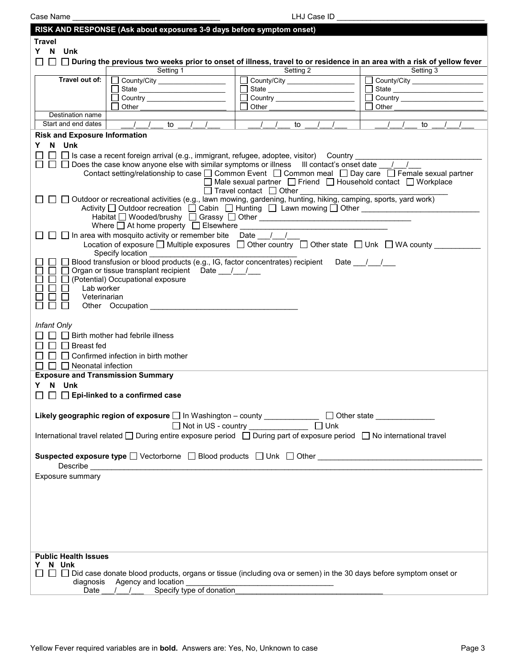Case Name \_\_\_\_\_\_\_\_\_\_\_\_\_\_\_\_\_\_\_\_\_\_\_\_\_\_\_\_\_\_\_\_\_\_\_ LHJ Case ID \_\_\_\_\_\_\_\_\_\_\_\_\_\_\_\_\_\_\_\_\_\_\_\_\_\_\_\_\_\_\_\_\_\_\_

|                                                                                                                         | RISK AND RESPONSE (Ask about exposures 3-9 days before symptom onset)                                                      |                                                                                    |                                |  |  |  |
|-------------------------------------------------------------------------------------------------------------------------|----------------------------------------------------------------------------------------------------------------------------|------------------------------------------------------------------------------------|--------------------------------|--|--|--|
| <b>Travel</b>                                                                                                           |                                                                                                                            |                                                                                    |                                |  |  |  |
| Y N Unk                                                                                                                 |                                                                                                                            |                                                                                    |                                |  |  |  |
|                                                                                                                         | □ □ During the previous two weeks prior to onset of illness, travel to or residence in an area with a risk of yellow fever |                                                                                    |                                |  |  |  |
|                                                                                                                         | Setting 1                                                                                                                  | Setting 2                                                                          | Setting 3                      |  |  |  |
| Travel out of:                                                                                                          | County/City _________________                                                                                              | □ County/City _________________                                                    | County/City __________________ |  |  |  |
|                                                                                                                         |                                                                                                                            |                                                                                    |                                |  |  |  |
|                                                                                                                         |                                                                                                                            |                                                                                    | Country ______________________ |  |  |  |
| Destination name                                                                                                        | Other                                                                                                                      | Other                                                                              | Other                          |  |  |  |
| Start and end dates                                                                                                     | $\sqrt{1 + 1}$ to $\sqrt{1 + 1}$                                                                                           | $\sqrt{1}$ to<br>$\frac{1}{2}$                                                     | $\sqrt{1}$<br>$\sqrt{1}$<br>to |  |  |  |
| <b>Risk and Exposure Information</b>                                                                                    |                                                                                                                            |                                                                                    |                                |  |  |  |
| Y N Unk                                                                                                                 |                                                                                                                            |                                                                                    |                                |  |  |  |
|                                                                                                                         | □ □ Is case a recent foreign arrival (e.g., immigrant, refugee, adoptee, visitor) Country ____________                     |                                                                                    |                                |  |  |  |
|                                                                                                                         | $\Box$ $\Box$ Does the case know anyone else with similar symptoms or illness III contact's onset date $\sqrt{1}$          |                                                                                    |                                |  |  |  |
|                                                                                                                         | Contact setting/relationship to case □ Common Event □ Common meal □ Day care □ Female sexual partner                       |                                                                                    |                                |  |  |  |
|                                                                                                                         |                                                                                                                            | $\Box$ Male sexual partner $\Box$ Friend $\Box$ Household contact $\Box$ Workplace |                                |  |  |  |
|                                                                                                                         |                                                                                                                            | $\Box$ Travel contact $\Box$ Other                                                 |                                |  |  |  |
|                                                                                                                         | □ □ Outdoor or recreational activities (e.g., lawn mowing, gardening, hunting, hiking, camping, sports, yard work)         |                                                                                    |                                |  |  |  |
|                                                                                                                         |                                                                                                                            |                                                                                    |                                |  |  |  |
|                                                                                                                         |                                                                                                                            |                                                                                    |                                |  |  |  |
|                                                                                                                         | Where $\Box$ At home property $\Box$ Elsewhere ________                                                                    |                                                                                    |                                |  |  |  |
|                                                                                                                         | $\Box$ $\Box$ In area with mosquito activity or remember bite Date / /                                                     |                                                                                    |                                |  |  |  |
|                                                                                                                         | Location of exposure $\Box$ Multiple exposures $\Box$ Other country $\Box$ Other state $\Box$ Unk $\Box$ WA county         |                                                                                    |                                |  |  |  |
|                                                                                                                         | Specify location<br>□ Blood transfusion or blood products (e.g., IG, factor concentrates) recipient Date __/__/__          |                                                                                    |                                |  |  |  |
|                                                                                                                         | □ □ Organ or tissue transplant recipient  Date __/__/__                                                                    |                                                                                    |                                |  |  |  |
|                                                                                                                         | $\Box$ (Potential) Occupational exposure                                                                                   |                                                                                    |                                |  |  |  |
| Lab worker                                                                                                              |                                                                                                                            |                                                                                    |                                |  |  |  |
| Veterinarian                                                                                                            |                                                                                                                            |                                                                                    |                                |  |  |  |
|                                                                                                                         | Other Occupation Changes Communication Changes Communication Changes Communication Changes Communication Changes           |                                                                                    |                                |  |  |  |
|                                                                                                                         |                                                                                                                            |                                                                                    |                                |  |  |  |
| <b>Infant Only</b>                                                                                                      |                                                                                                                            |                                                                                    |                                |  |  |  |
|                                                                                                                         | $\Box$ Birth mother had febrile illness                                                                                    |                                                                                    |                                |  |  |  |
| $\Box$ Breast fed                                                                                                       |                                                                                                                            |                                                                                    |                                |  |  |  |
|                                                                                                                         | $\Box$ $\Box$ Confirmed infection in birth mother                                                                          |                                                                                    |                                |  |  |  |
| $\Box$ Neonatal infection                                                                                               |                                                                                                                            |                                                                                    |                                |  |  |  |
| <b>Exposure and Transmission Summary</b>                                                                                |                                                                                                                            |                                                                                    |                                |  |  |  |
| N Unk<br>Y.                                                                                                             |                                                                                                                            |                                                                                    |                                |  |  |  |
|                                                                                                                         | $\Box$ Epi-linked to a confirmed case                                                                                      |                                                                                    |                                |  |  |  |
|                                                                                                                         |                                                                                                                            |                                                                                    |                                |  |  |  |
|                                                                                                                         |                                                                                                                            |                                                                                    |                                |  |  |  |
|                                                                                                                         | Likely geographic region of exposure   In Washington - county ___________                                                  |                                                                                    | Other state ________________   |  |  |  |
|                                                                                                                         |                                                                                                                            |                                                                                    |                                |  |  |  |
| International travel related □ During entire exposure period □ During part of exposure period □ No international travel |                                                                                                                            |                                                                                    |                                |  |  |  |
|                                                                                                                         |                                                                                                                            |                                                                                    |                                |  |  |  |
| <b>Suspected exposure type</b> $\square$ Vectorborne $\square$ Blood products $\square$ Unk $\square$ Other             |                                                                                                                            |                                                                                    |                                |  |  |  |
|                                                                                                                         |                                                                                                                            |                                                                                    |                                |  |  |  |
| Exposure summary                                                                                                        |                                                                                                                            |                                                                                    |                                |  |  |  |
|                                                                                                                         |                                                                                                                            |                                                                                    |                                |  |  |  |
|                                                                                                                         |                                                                                                                            |                                                                                    |                                |  |  |  |
|                                                                                                                         |                                                                                                                            |                                                                                    |                                |  |  |  |
|                                                                                                                         |                                                                                                                            |                                                                                    |                                |  |  |  |
|                                                                                                                         |                                                                                                                            |                                                                                    |                                |  |  |  |
|                                                                                                                         |                                                                                                                            |                                                                                    |                                |  |  |  |
|                                                                                                                         |                                                                                                                            |                                                                                    |                                |  |  |  |
| <b>Public Health Issues</b>                                                                                             |                                                                                                                            |                                                                                    |                                |  |  |  |
| N Unk<br>Y                                                                                                              |                                                                                                                            |                                                                                    |                                |  |  |  |
|                                                                                                                         | Did case donate blood products, organs or tissue (including ova or semen) in the 30 days before symptom onset or           |                                                                                    |                                |  |  |  |
| Agency and location<br>diagnosis                                                                                        |                                                                                                                            |                                                                                    |                                |  |  |  |
| Date                                                                                                                    | a location<br>_Specify type of donation_                                                                                   |                                                                                    |                                |  |  |  |